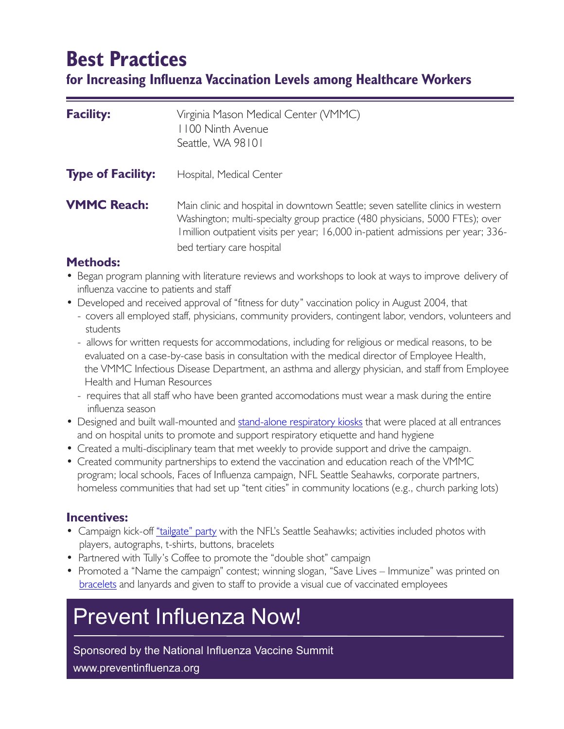# **Best Practices**

**for Increasing Influenza Vaccination Levels among Healthcare Workers**

| <b>Facility:</b>         | Virginia Mason Medical Center (VMMC)<br>1100 Ninth Avenue<br>Seattle, WA 98101                                                                                                                                                                                                      |
|--------------------------|-------------------------------------------------------------------------------------------------------------------------------------------------------------------------------------------------------------------------------------------------------------------------------------|
| <b>Type of Facility:</b> | Hospital, Medical Center                                                                                                                                                                                                                                                            |
| <b>VMMC Reach:</b>       | Main clinic and hospital in downtown Seattle; seven satellite clinics in western<br>Washington; multi-specialty group practice (480 physicians, 5000 FTEs); over<br>I million outpatient visits per year; 16,000 in-patient admissions per year; 336-<br>bed tertiary care hospital |

# **Methods:**

- Began program planning with literature reviews and workshops to look at ways to improve delivery of influenza vaccine to patients and staff
- Developed and received approval of "fitness for duty" vaccination policy in August 2004, that
	- covers all employed staff, physicians, community providers, contingent labor, vendors, volunteers and students
	- allows for written requests for accommodations, including for religious or medical reasons, to be evaluated on a case-by-case basis in consultation with the medical director of Employee Health, the VMMC Infectious Disease Department, an asthma and allergy physician, and staff from Employee Health and Human Resources
	- requires that all staff who have been granted accomodations must wear a mask during the entire influenza season
- Designed and built wall-mounted and [stand-alone](http://www.preventinfluenza.org/bestpractices/VAMason_kiosk.pdf) respiratory kiosks that were placed at all entrances and on hospital units to promote and support respiratory etiquette and hand hygiene
- Created a multi-disciplinary team that met weekly to provide support and drive the campaign.
- • Created community partnerships to extend the vaccination and education reach of the VMMC program; local schools, Faces of Influenza campaign, NFL Seattle Seahawks, corporate partners, homeless communities that had set up "tent cities" in community locations (e.g., church parking lots)

#### **Incentives:**

- Campaign kick-off ["tailgate"](http://www.preventinfluenza.org/bestpractices/VAMason_tailgate.pdf) party with the NFL's Seattle Seahawks; activities included photos with players, autographs, t-shirts, buttons, bracelets
- Partnered with Tully's Coffee to promote the "double shot" campaign
- Promoted a "Name the campaign" contest; winning slogan, "Save Lives Immunize" was printed on [bracelets](http://www.preventinfluenza.org/bestpractices/VAMason_bracelet.pdf) and lanyards and given to staff to provide a visual cue of vaccinated employees

# Prevent Influenza Now!

## Sponsored by the National Influenza Vaccine Summit

www.preventinfluenza.org